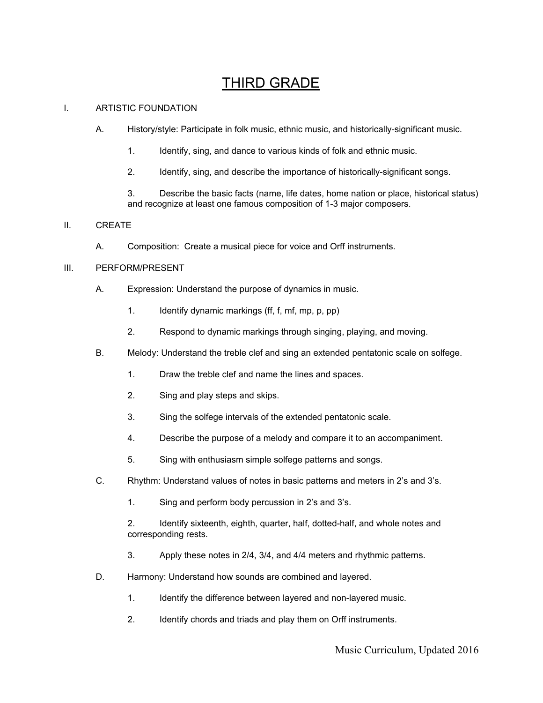# **THIRD GRADE**

## I. ARTISTIC FOUNDATION

- A. History/style: Participate in folk music, ethnic music, and historically-significant music.
	- 1. Identify, sing, and dance to various kinds of folk and ethnic music.
	- 2. Identify, sing, and describe the importance of historically-significant songs.

3. Describe the basic facts (name, life dates, home nation or place, historical status) and recognize at least one famous composition of 1-3 major composers.

## II. CREATE

A. Composition: Create a musical piece for voice and Orff instruments.

### III. PERFORM/PRESENT

- A. Expression: Understand the purpose of dynamics in music.
	- 1. Identify dynamic markings (ff, f, mf, mp, p, pp)
	- 2. Respond to dynamic markings through singing, playing, and moving.
- B. Melody: Understand the treble clef and sing an extended pentatonic scale on solfege.
	- 1. Draw the treble clef and name the lines and spaces.
	- 2. Sing and play steps and skips.
	- 3. Sing the solfege intervals of the extended pentatonic scale.
	- 4. Describe the purpose of a melody and compare it to an accompaniment.
	- 5. Sing with enthusiasm simple solfege patterns and songs.
- C. Rhythm: Understand values of notes in basic patterns and meters in 2's and 3's.
	- 1. Sing and perform body percussion in 2's and 3's.

2. Identify sixteenth, eighth, quarter, half, dotted-half, and whole notes and corresponding rests.

- 3. Apply these notes in 2/4, 3/4, and 4/4 meters and rhythmic patterns.
- D. Harmony: Understand how sounds are combined and layered.
	- 1. Identify the difference between layered and non-layered music.
	- 2. Identify chords and triads and play them on Orff instruments.